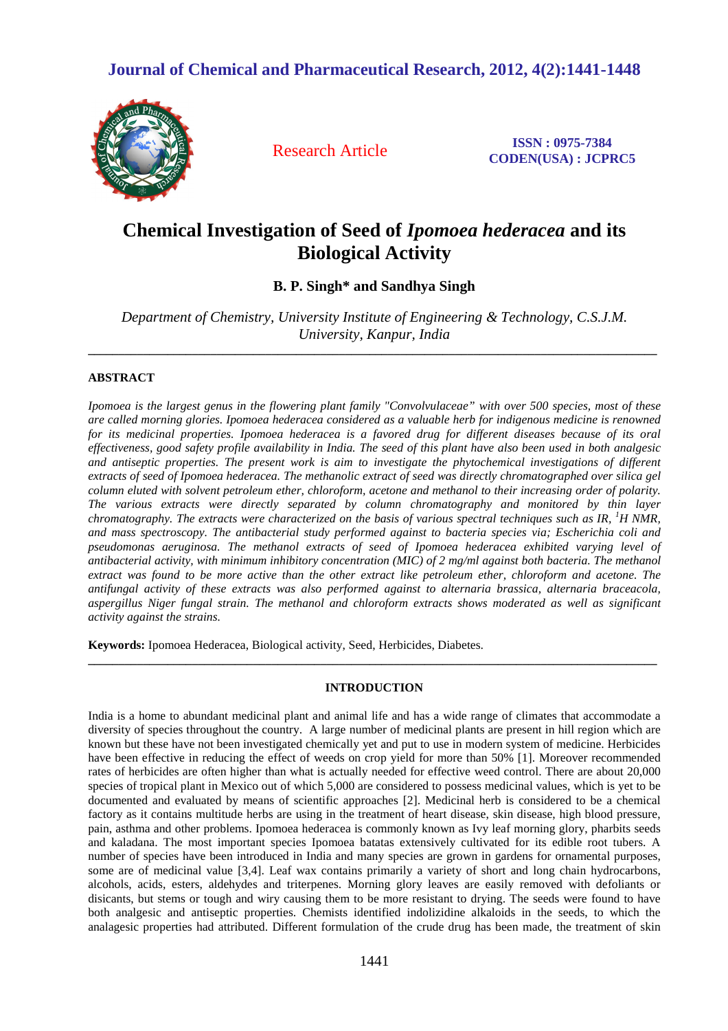## **Journal of Chemical and Pharmaceutical Research, 2012, 4(2):1441-1448**



Research Article **ISSN : 0975-7384 CODEN(USA) : JCPRC5**

# **Chemical Investigation of Seed of** *Ipomoea hederacea* **and its Biological Activity**

**B. P. Singh\* and Sandhya Singh** 

*Department of Chemistry, University Institute of Engineering & Technology, C.S.J.M. University, Kanpur, India* 

**\_\_\_\_\_\_\_\_\_\_\_\_\_\_\_\_\_\_\_\_\_\_\_\_\_\_\_\_\_\_\_\_\_\_\_\_\_\_\_\_\_\_\_\_\_\_\_\_\_\_\_\_\_\_\_\_\_\_\_\_\_\_\_\_\_\_\_\_\_\_\_\_\_\_\_\_\_\_\_\_\_\_\_\_\_\_\_\_\_\_\_\_\_** 

## **ABSTRACT**

*Ipomoea is the largest genus in the flowering plant family "Convolvulaceae" with over 500 species, most of these are called morning glories. Ipomoea hederacea considered as a valuable herb for indigenous medicine is renowned for its medicinal properties. Ipomoea hederacea is a favored drug for different diseases because of its oral effectiveness, good safety profile availability in India. The seed of this plant have also been used in both analgesic and antiseptic properties. The present work is aim to investigate the phytochemical investigations of different extracts of seed of Ipomoea hederacea. The methanolic extract of seed was directly chromatographed over silica gel column eluted with solvent petroleum ether, chloroform, acetone and methanol to their increasing order of polarity. The various extracts were directly separated by column chromatography and monitored by thin layer chromatography. The extracts were characterized on the basis of various spectral techniques such as IR, <sup>1</sup>H NMR, and mass spectroscopy. The antibacterial study performed against to bacteria species via; Escherichia coli and pseudomonas aeruginosa. The methanol extracts of seed of Ipomoea hederacea exhibited varying level of antibacterial activity, with minimum inhibitory concentration (MIC) of 2 mg/ml against both bacteria. The methanol extract was found to be more active than the other extract like petroleum ether, chloroform and acetone. The antifungal activity of these extracts was also performed against to alternaria brassica, alternaria braceacola, aspergillus Niger fungal strain. The methanol and chloroform extracts shows moderated as well as significant activity against the strains.* 

**Keywords:** Ipomoea Hederacea, Biological activity, Seed, Herbicides, Diabetes.

## **INTRODUCTION**

**\_\_\_\_\_\_\_\_\_\_\_\_\_\_\_\_\_\_\_\_\_\_\_\_\_\_\_\_\_\_\_\_\_\_\_\_\_\_\_\_\_\_\_\_\_\_\_\_\_\_\_\_\_\_\_\_\_\_\_\_\_\_\_\_\_\_\_\_\_\_\_\_\_\_\_\_\_\_\_\_\_\_\_\_\_\_\_\_\_\_\_\_\_** 

India is a home to abundant medicinal plant and animal life and has a wide range of climates that accommodate a diversity of species throughout the country. A large number of medicinal plants are present in hill region which are known but these have not been investigated chemically yet and put to use in modern system of medicine. Herbicides have been effective in reducing the effect of weeds on crop yield for more than 50% [1]. Moreover recommended rates of herbicides are often higher than what is actually needed for effective weed control. There are about 20,000 species of tropical plant in Mexico out of which 5,000 are considered to possess medicinal values, which is yet to be documented and evaluated by means of scientific approaches [2]. Medicinal herb is considered to be a chemical factory as it contains multitude herbs are using in the treatment of heart disease, skin disease, high blood pressure, pain, asthma and other problems. Ipomoea hederacea is commonly known as Ivy leaf morning glory, pharbits seeds and kaladana. The most important species Ipomoea batatas extensively cultivated for its edible root tubers. A number of species have been introduced in India and many species are grown in gardens for ornamental purposes, some are of medicinal value [3,4]. Leaf wax contains primarily a variety of short and long chain hydrocarbons, alcohols, acids, esters, aldehydes and triterpenes. Morning glory leaves are easily removed with defoliants or disicants, but stems or tough and wiry causing them to be more resistant to drying. The seeds were found to have both analgesic and antiseptic properties. Chemists identified indolizidine alkaloids in the seeds, to which the analagesic properties had attributed. Different formulation of the crude drug has been made, the treatment of skin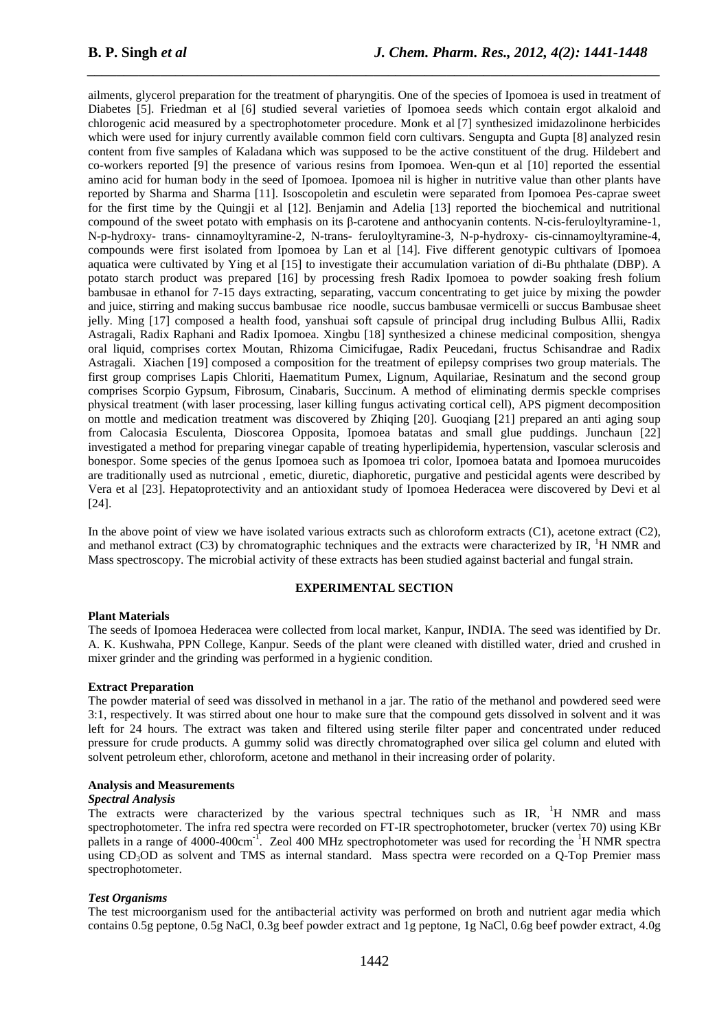ailments, glycerol preparation for the treatment of pharyngitis. One of the species of Ipomoea is used in treatment of Diabetes [5]. Friedman et al [6] studied several varieties of Ipomoea seeds which contain ergot alkaloid and chlorogenic acid measured by a spectrophotometer procedure. Monk et al [7] synthesized imidazolinone herbicides which were used for injury currently available common field corn cultivars. Sengupta and Gupta [8] analyzed resin content from five samples of Kaladana which was supposed to be the active constituent of the drug. Hildebert and co-workers reported [9] the presence of various resins from Ipomoea. Wen-qun et al [10] reported the essential amino acid for human body in the seed of Ipomoea. Ipomoea nil is higher in nutritive value than other plants have reported by Sharma and Sharma [11]. Isoscopoletin and esculetin were separated from Ipomoea Pes-caprae sweet for the first time by the Quingji et al [12]. Benjamin and Adelia [13] reported the biochemical and nutritional compound of the sweet potato with emphasis on its β-carotene and anthocyanin contents. N-cis-feruloyltyramine-1, N-p-hydroxy- trans- cinnamoyltyramine-2, N-trans- feruloyltyramine-3, N-p-hydroxy- cis-cinnamoyltyramine-4, compounds were first isolated from Ipomoea by Lan et al [14]. Five different genotypic cultivars of Ipomoea aquatica were cultivated by Ying et al [15] to investigate their accumulation variation of di-Bu phthalate (DBP). A potato starch product was prepared [16] by processing fresh Radix Ipomoea to powder soaking fresh folium bambusae in ethanol for 7-15 days extracting, separating, vaccum concentrating to get juice by mixing the powder and juice, stirring and making succus bambusae rice noodle, succus bambusae vermicelli or succus Bambusae sheet jelly. Ming [17] composed a health food, yanshuai soft capsule of principal drug including Bulbus Allii, Radix Astragali, Radix Raphani and Radix Ipomoea. Xingbu [18] synthesized a chinese medicinal composition, shengya oral liquid, comprises cortex Moutan, Rhizoma Cimicifugae, Radix Peucedani, fructus Schisandrae and Radix Astragali. Xiachen [19] composed a composition for the treatment of epilepsy comprises two group materials. The first group comprises Lapis Chloriti, Haematitum Pumex, Lignum, Aquilariae, Resinatum and the second group comprises Scorpio Gypsum, Fibrosum, Cinabaris, Succinum. A method of eliminating dermis speckle comprises physical treatment (with laser processing, laser killing fungus activating cortical cell), APS pigment decomposition on mottle and medication treatment was discovered by Zhiqing [20]. Guoqiang [21] prepared an anti aging soup from Calocasia Esculenta, Dioscorea Opposita, Ipomoea batatas and small glue puddings. Junchaun [22] investigated a method for preparing vinegar capable of treating hyperlipidemia, hypertension, vascular sclerosis and bonespor. Some species of the genus Ipomoea such as Ipomoea tri color, Ipomoea batata and Ipomoea murucoides are traditionally used as nutrcional , emetic, diuretic, diaphoretic, purgative and pesticidal agents were described by Vera et al [23]. Hepatoprotectivity and an antioxidant study of Ipomoea Hederacea were discovered by Devi et al [24].

*\_\_\_\_\_\_\_\_\_\_\_\_\_\_\_\_\_\_\_\_\_\_\_\_\_\_\_\_\_\_\_\_\_\_\_\_\_\_\_\_\_\_\_\_\_\_\_\_\_\_\_\_\_\_\_\_\_\_\_\_\_\_\_\_\_\_\_\_\_\_\_\_\_\_\_\_\_\_*

In the above point of view we have isolated various extracts such as chloroform extracts  $(C1)$ , acetone extract  $(C2)$ , and methanol extract  $(C3)$  by chromatographic techniques and the extracts were characterized by IR,  ${}^{1}$ H NMR and Mass spectroscopy. The microbial activity of these extracts has been studied against bacterial and fungal strain.

## **EXPERIMENTAL SECTION**

#### **Plant Materials**

The seeds of Ipomoea Hederacea were collected from local market, Kanpur, INDIA. The seed was identified by Dr. A. K. Kushwaha, PPN College, Kanpur. Seeds of the plant were cleaned with distilled water, dried and crushed in mixer grinder and the grinding was performed in a hygienic condition.

#### **Extract Preparation**

The powder material of seed was dissolved in methanol in a jar. The ratio of the methanol and powdered seed were 3:1, respectively. It was stirred about one hour to make sure that the compound gets dissolved in solvent and it was left for 24 hours. The extract was taken and filtered using sterile filter paper and concentrated under reduced pressure for crude products. A gummy solid was directly chromatographed over silica gel column and eluted with solvent petroleum ether, chloroform, acetone and methanol in their increasing order of polarity.

### **Analysis and Measurements**

#### *Spectral Analysis*

The extracts were characterized by the various spectral techniques such as IR, <sup>1</sup>H NMR and mass spectrophotometer. The infra red spectra were recorded on FT-IR spectrophotometer, brucker (vertex 70) using KBr pallets in a range of  $4000-400 \text{cm}^{-1}$ . Zeol  $400 \text{ MHz}$  spectrophotometer was used for recording the <sup>1</sup>H NMR spectra using CD3OD as solvent and TMS as internal standard. Mass spectra were recorded on a Q-Top Premier mass spectrophotometer.

#### *Test Organisms*

The test microorganism used for the antibacterial activity was performed on broth and nutrient agar media which contains 0.5g peptone, 0.5g NaCl, 0.3g beef powder extract and 1g peptone, 1g NaCl, 0.6g beef powder extract, 4.0g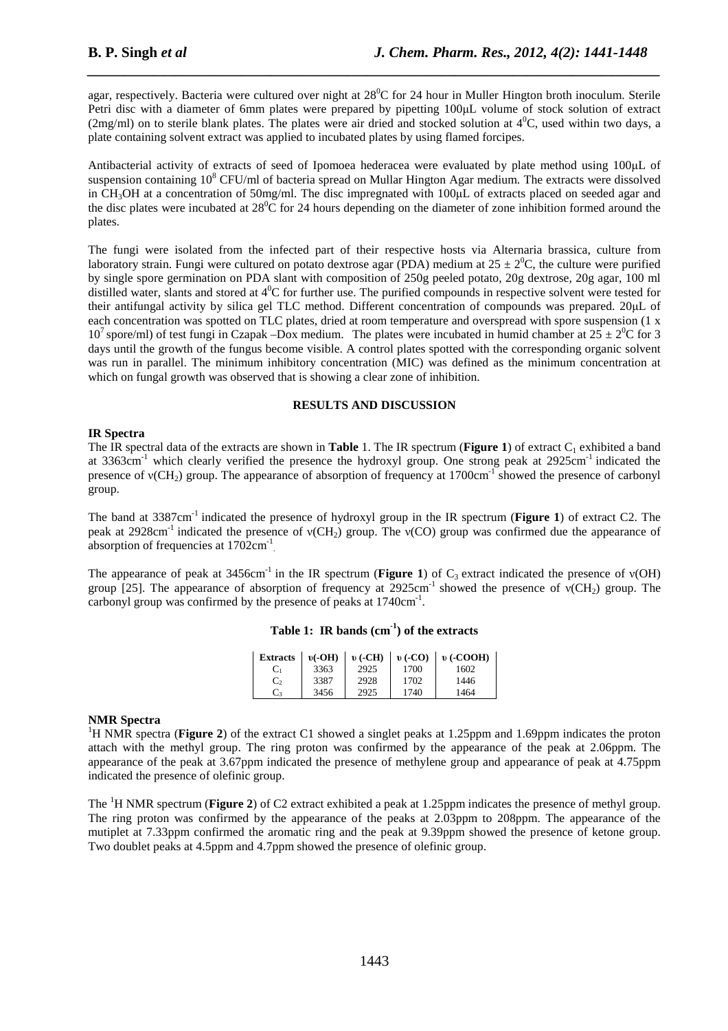agar, respectively. Bacteria were cultured over night at  $28^{\circ}$ C for 24 hour in Muller Hington broth inoculum. Sterile Petri disc with a diameter of 6mm plates were prepared by pipetting 100µL volume of stock solution of extract (2mg/ml) on to sterile blank plates. The plates were air dried and stocked solution at  $4^{\circ}$ C, used within two days, a plate containing solvent extract was applied to incubated plates by using flamed forcipes.

*\_\_\_\_\_\_\_\_\_\_\_\_\_\_\_\_\_\_\_\_\_\_\_\_\_\_\_\_\_\_\_\_\_\_\_\_\_\_\_\_\_\_\_\_\_\_\_\_\_\_\_\_\_\_\_\_\_\_\_\_\_\_\_\_\_\_\_\_\_\_\_\_\_\_\_\_\_\_*

Antibacterial activity of extracts of seed of Ipomoea hederacea were evaluated by plate method using 100µL of suspension containing  $10^8$  CFU/ml of bacteria spread on Mullar Hington Agar medium. The extracts were dissolved in CH3OH at a concentration of 50mg/ml. The disc impregnated with 100µL of extracts placed on seeded agar and the disc plates were incubated at  $28^{\circ}$ C for 24 hours depending on the diameter of zone inhibition formed around the plates.

The fungi were isolated from the infected part of their respective hosts via Alternaria brassica, culture from laboratory strain. Fungi were cultured on potato dextrose agar (PDA) medium at  $25 \pm 2^{0}C$ , the culture were purified by single spore germination on PDA slant with composition of 250g peeled potato, 20g dextrose, 20g agar, 100 ml distilled water, slants and stored at  $4^0C$  for further use. The purified compounds in respective solvent were tested for their antifungal activity by silica gel TLC method. Different concentration of compounds was prepared. 20µL of each concentration was spotted on TLC plates, dried at room temperature and overspread with spore suspension (1 x 10<sup>7</sup> spore/ml) of test fungi in Czapak –Dox medium. The plates were incubated in humid chamber at  $25 \pm 2^{0}C$  for 3 days until the growth of the fungus become visible. A control plates spotted with the corresponding organic solvent was run in parallel. The minimum inhibitory concentration (MIC) was defined as the minimum concentration at which on fungal growth was observed that is showing a clear zone of inhibition.

## **RESULTS AND DISCUSSION**

## **IR Spectra**

The IR spectral data of the extracts are shown in **Table** 1. The IR spectrum (**Figure 1**) of extract  $C_1$  exhibited a band at 3363cm<sup>-1</sup> which clearly verified the presence the hydroxyl group. One strong peak at 2925cm<sup>-1</sup> indicated the presence of ν(CH<sub>2</sub>) group. The appearance of absorption of frequency at 1700cm<sup>-1</sup> showed the presence of carbonyl group.

The band at 3387cm<sup>-1</sup> indicated the presence of hydroxyl group in the IR spectrum (**Figure 1**) of extract C2. The peak at 2928cm<sup>-1</sup> indicated the presence of  $v(CH_2)$  group. The  $v(CO)$  group was confirmed due the appearance of absorption of frequencies at  $1702 \text{cm}^{-1}$ .

The appearance of peak at 3456cm<sup>-1</sup> in the IR spectrum (**Figure 1**) of  $C_3$  extract indicated the presence of  $v(OH)$ group [25]. The appearance of absorption of frequency at  $2925 \text{cm}^{-1}$  showed the presence of ν(CH<sub>2</sub>) group. The carbonyl group was confirmed by the presence of peaks at 1740cm<sup>-1</sup>.

| <b>Extracts</b> | $v(-OH)$ | $v$ (-CH) | $v$ (-CO) | $v$ (-COOH) |
|-----------------|----------|-----------|-----------|-------------|
| Ċ1              | 3363     | 2925      | 1700      | 1602        |
| C,              | 3387     | 2928      | 1702      | 1446        |
| Ċз              | 3456     | 2925      | 1740      | 1464        |

|  |  |  | Table 1: IR bands $(cm-1)$ of the extracts |
|--|--|--|--------------------------------------------|
|--|--|--|--------------------------------------------|

## **NMR Spectra**

<sup>1</sup>H NMR spectra (**Figure 2**) of the extract C1 showed a singlet peaks at 1.25ppm and 1.69ppm indicates the proton attach with the methyl group. The ring proton was confirmed by the appearance of the peak at 2.06ppm. The appearance of the peak at 3.67ppm indicated the presence of methylene group and appearance of peak at 4.75ppm indicated the presence of olefinic group.

The <sup>1</sup>H NMR spectrum (**Figure 2**) of C2 extract exhibited a peak at 1.25ppm indicates the presence of methyl group. The ring proton was confirmed by the appearance of the peaks at 2.03ppm to 208ppm. The appearance of the mutiplet at 7.33ppm confirmed the aromatic ring and the peak at 9.39ppm showed the presence of ketone group. Two doublet peaks at 4.5ppm and 4.7ppm showed the presence of olefinic group.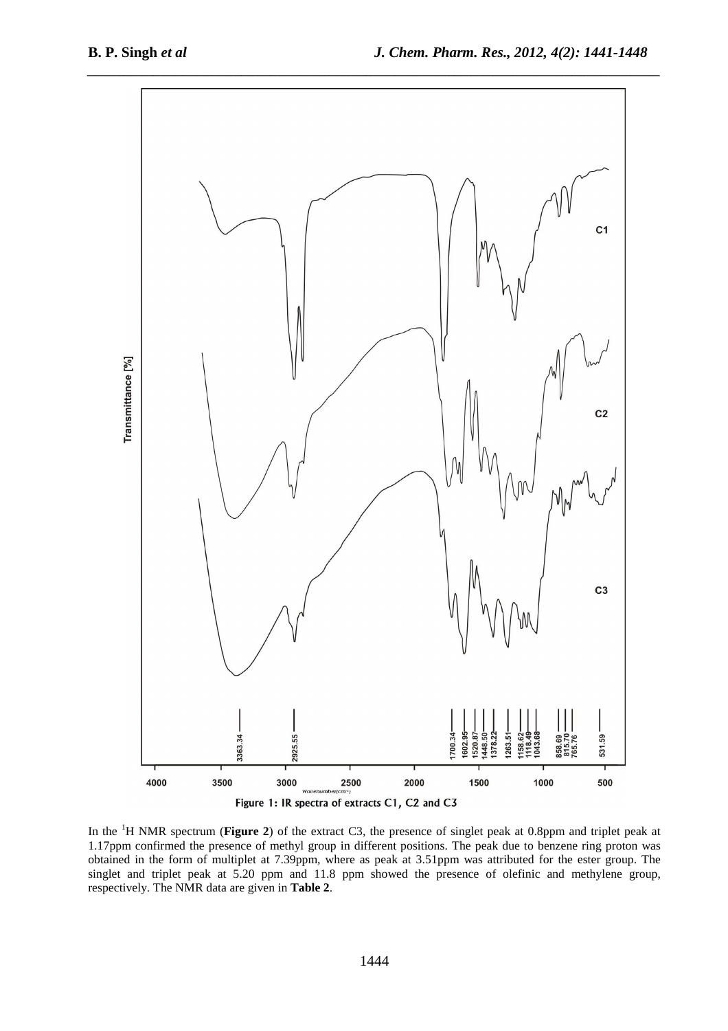

In the <sup>1</sup>H NMR spectrum (**Figure 2**) of the extract C3, the presence of singlet peak at 0.8ppm and triplet peak at 1.17ppm confirmed the presence of methyl group in different positions. The peak due to benzene ring proton was obtained in the form of multiplet at 7.39ppm, where as peak at 3.51ppm was attributed for the ester group. The singlet and triplet peak at 5.20 ppm and 11.8 ppm showed the presence of olefinic and methylene group, respectively. The NMR data are given in **Table 2**.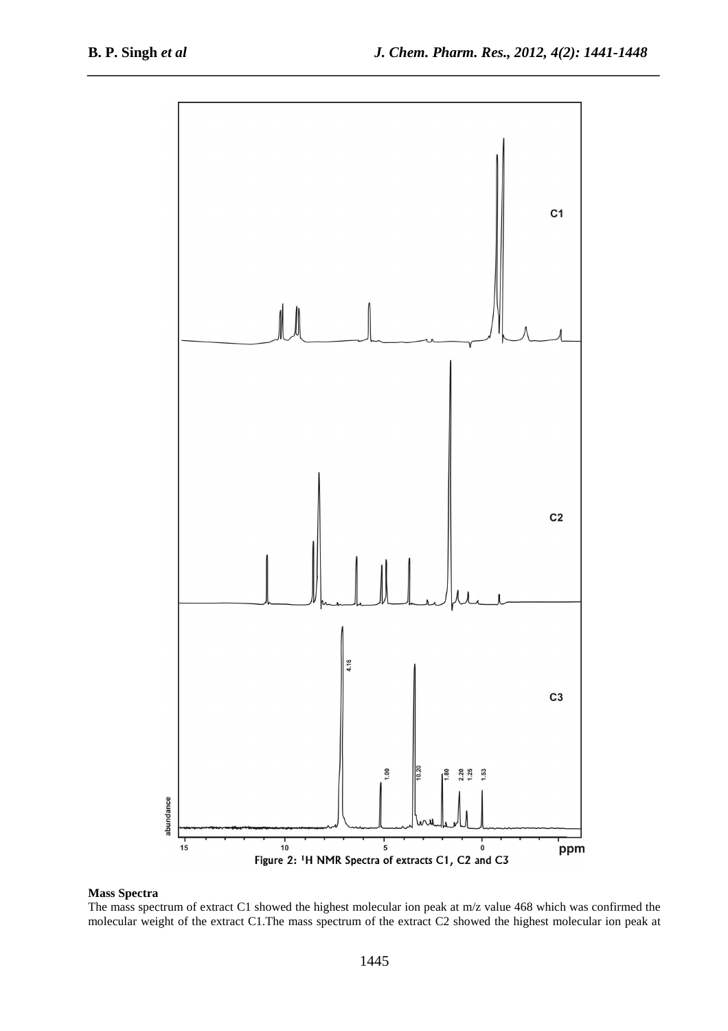

## **Mass Spectra**

The mass spectrum of extract C1 showed the highest molecular ion peak at m/z value 468 which was confirmed the molecular weight of the extract C1.The mass spectrum of the extract C2 showed the highest molecular ion peak at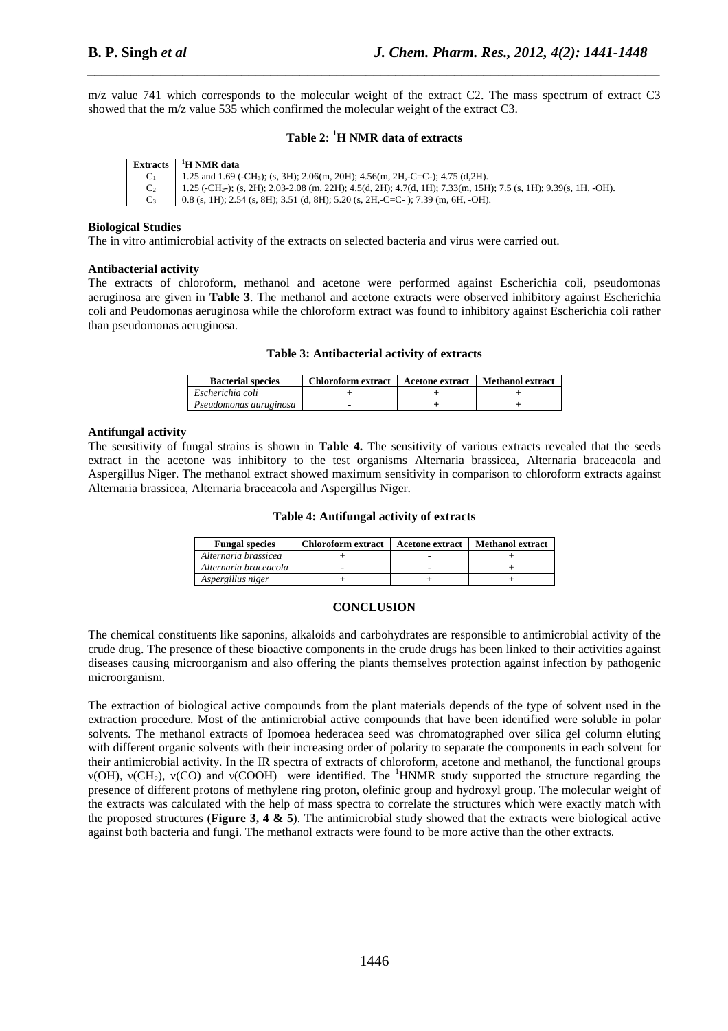$m/z$  value 741 which corresponds to the molecular weight of the extract C2. The mass spectrum of extract C3 showed that the m/z value 535 which confirmed the molecular weight of the extract C3.

*\_\_\_\_\_\_\_\_\_\_\_\_\_\_\_\_\_\_\_\_\_\_\_\_\_\_\_\_\_\_\_\_\_\_\_\_\_\_\_\_\_\_\_\_\_\_\_\_\_\_\_\_\_\_\_\_\_\_\_\_\_\_\_\_\_\_\_\_\_\_\_\_\_\_\_\_\_\_*

## **Table 2: <sup>1</sup>H NMR data of extracts**

| <b>Extracts</b> | <sup>1</sup> H NMR data                                                                                                        |
|-----------------|--------------------------------------------------------------------------------------------------------------------------------|
|                 | 1.25 and 1.69 (-CH <sub>3</sub> ); (s, 3H); 2.06(m, 20H); 4.56(m, 2H,-C=C-); 4.75 (d, 2H).                                     |
|                 | $1.25$ (-CH <sub>2</sub> -); (s, 2H); 2.03-2.08 (m, 22H); 4.5(d, 2H); 4.7(d, 1H); 7.33(m, 15H); 7.5 (s, 1H); 9.39(s, 1H, -OH). |
|                 | 0.8 (s, 1H); 2.54 (s, 8H); 3.51 (d, 8H); 5.20 (s, 2H,-C=C-); 7.39 (m, 6H, -OH).                                                |

## **Biological Studies**

The in vitro antimicrobial activity of the extracts on selected bacteria and virus were carried out.

## **Antibacterial activity**

The extracts of chloroform, methanol and acetone were performed against Escherichia coli, pseudomonas aeruginosa are given in **Table 3**. The methanol and acetone extracts were observed inhibitory against Escherichia coli and Peudomonas aeruginosa while the chloroform extract was found to inhibitory against Escherichia coli rather than pseudomonas aeruginosa.

## **Table 3: Antibacterial activity of extracts**

| <b>Bacterial species</b> | Chloroform extract | <b>Acetone extract</b> | Methanol extract |
|--------------------------|--------------------|------------------------|------------------|
| Escherichia coli         |                    |                        |                  |
| Pseudomonas auruginosa   |                    |                        |                  |

## **Antifungal activity**

The sensitivity of fungal strains is shown in **Table 4.** The sensitivity of various extracts revealed that the seeds extract in the acetone was inhibitory to the test organisms Alternaria brassicea, Alternaria braceacola and Aspergillus Niger. The methanol extract showed maximum sensitivity in comparison to chloroform extracts against Alternaria brassicea, Alternaria braceacola and Aspergillus Niger.

## **Table 4: Antifungal activity of extracts**

| <b>Fungal species</b> | <b>Chloroform extract</b> | <b>Acetone extract</b> | <b>Methanol extract</b> |
|-----------------------|---------------------------|------------------------|-------------------------|
| Alternaria brassicea  |                           |                        |                         |
| Alternaria braceacola |                           |                        |                         |
| Aspergillus niger     |                           |                        |                         |

#### **CONCLUSION**

The chemical constituents like saponins, alkaloids and carbohydrates are responsible to antimicrobial activity of the crude drug. The presence of these bioactive components in the crude drugs has been linked to their activities against diseases causing microorganism and also offering the plants themselves protection against infection by pathogenic microorganism.

The extraction of biological active compounds from the plant materials depends of the type of solvent used in the extraction procedure. Most of the antimicrobial active compounds that have been identified were soluble in polar solvents. The methanol extracts of Ipomoea hederacea seed was chromatographed over silica gel column eluting with different organic solvents with their increasing order of polarity to separate the components in each solvent for their antimicrobial activity. In the IR spectra of extracts of chloroform, acetone and methanol, the functional groups ν(OH), ν(CH2), ν(CO) and ν(COOH) were identified. The <sup>1</sup>HNMR study supported the structure regarding the presence of different protons of methylene ring proton, olefinic group and hydroxyl group. The molecular weight of the extracts was calculated with the help of mass spectra to correlate the structures which were exactly match with the proposed structures (**Figure 3, 4 & 5**). The antimicrobial study showed that the extracts were biological active against both bacteria and fungi. The methanol extracts were found to be more active than the other extracts.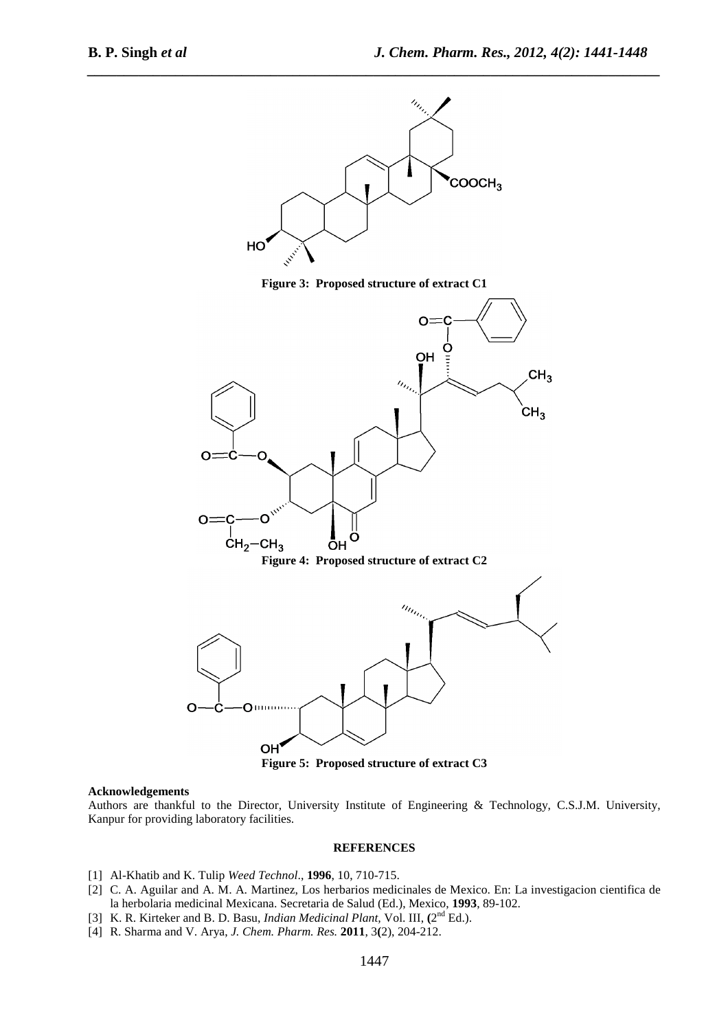

*\_\_\_\_\_\_\_\_\_\_\_\_\_\_\_\_\_\_\_\_\_\_\_\_\_\_\_\_\_\_\_\_\_\_\_\_\_\_\_\_\_\_\_\_\_\_\_\_\_\_\_\_\_\_\_\_\_\_\_\_\_\_\_\_\_\_\_\_\_\_\_\_\_\_\_\_\_\_*

**Figure 3: Proposed structure of extract C1** 



**Figure 5: Proposed structure of extract C3** 

#### **Acknowledgements**

Authors are thankful to the Director, University Institute of Engineering & Technology, C.S.J.M. University, Kanpur for providing laboratory facilities.

#### **REFERENCES**

- [1] Al-Khatib and K. Tulip *Weed Technol*., **1996**, 10, 710-715.
- [2] C. A. Aguilar and A. M. A. Martinez, Los herbarios medicinales de Mexico. En: La investigacion cientifica de la herbolaria medicinal Mexicana. Secretaria de Salud (Ed.), Mexico, **1993**, 89-102.
- [3] K. R. Kirteker and B. D. Basu, *Indian Medicinal Plant*, Vol. III, (2<sup>nd</sup> Ed.).
- [4] R. Sharma and V. Arya, *J. Chem. Pharm. Res.* **2011**, 3**(**2), 204-212.